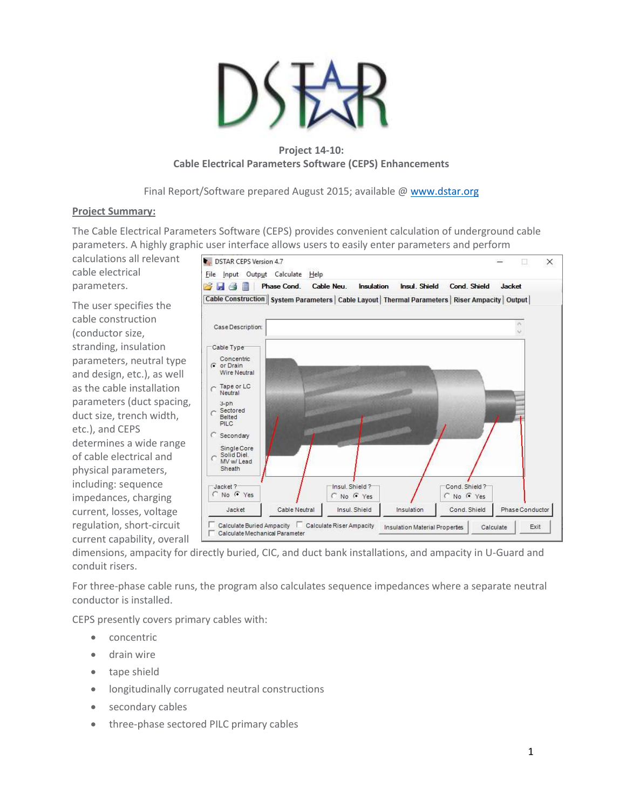

# **Project 14-10: Cable Electrical Parameters Software (CEPS) Enhancements**

Final Report/Software prepared August 2015; available [@ www.dstar.org](http://www.dstar.org/research/project-desc/CEPS/)

## **Project Summary:**

The Cable Electrical Parameters Software (CEPS) provides convenient calculation of underground cable parameters. A highly graphic user interface allows users to easily enter parameters and perform

calculations all relevant cable electrical parameters.

The user specifies the cable construction (conductor size, stranding, insulation parameters, neutral type and design, etc.), as well as the cable installation parameters (duct spacing, duct size, trench width, etc.), and CEPS determines a wide range of cable electrical and physical parameters, including: sequence impedances, charging current, losses, voltage regulation, short-circuit current capability, overall



dimensions, ampacity for directly buried, CIC, and duct bank installations, and ampacity in U-Guard and conduit risers.

For three-phase cable runs, the program also calculates sequence impedances where a separate neutral conductor is installed.

CEPS presently covers primary cables with:

- concentric
- drain wire
- tape shield
- longitudinally corrugated neutral constructions
- secondary cables
- three-phase sectored PILC primary cables